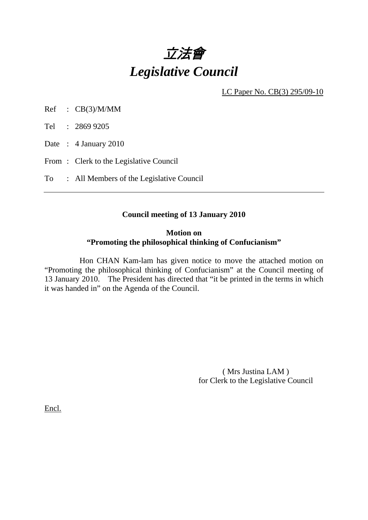

LC Paper No. CB(3) 295/09-10

Ref : CB(3)/M/MM

Tel : 2869 9205

Date: 4 January 2010

From: Clerk to the Legislative Council

To : All Members of the Legislative Council

#### **Council meeting of 13 January 2010**

## **Motion on "Promoting the philosophical thinking of Confucianism"**

 Hon CHAN Kam-lam has given notice to move the attached motion on "Promoting the philosophical thinking of Confucianism" at the Council meeting of 13 January 2010. The President has directed that "it be printed in the terms in which it was handed in" on the Agenda of the Council.

> ( Mrs Justina LAM ) for Clerk to the Legislative Council

Encl.